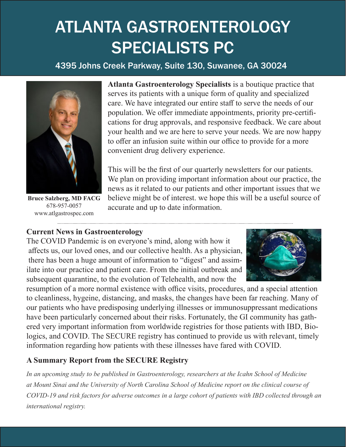# ATLANTA GASTROENTEROLOGY SPECIALISTS PC

# 4395 Johns Creek Parkway, Suite 130, Suwanee, GA 30024



**Bruce Salzberg, MD FACG** 678-957-0057 www.atlgastrospec.com

**Atlanta Gastroenterology Specialists** is a boutique practice that serves its patients with a unique form of quality and specialized care. We have integrated our entire staff to serve the needs of our population. We offer immediate appointments, priority pre-certifications for drug approvals, and responsive feedback. We care about your health and we are here to serve your needs. We are now happy to offer an infusion suite within our office to provide for a more convenient drug delivery experience.

This will be the first of our quarterly newsletters for our patients. We plan on providing important information about our practice, the news as it related to our patients and other important issues that we believe might be of interest. we hope this will be a useful source of accurate and up to date information.

# **Current News in Gastroenterology**

The COVID Pandemic is on everyone's mind, along with how it affects us, our loved ones, and our collective health. As a physician, there has been a huge amount of information to "digest" and assimilate into our practice and patient care. From the initial outbreak and subsequent quarantine, to the evolution of Telehealth, and now the



resumption of a more normal existence with office visits, procedures, and a special attention to cleanliness, hygeine, distancing, and masks, the changes have been far reaching. Many of our patients who have predisposing underlying illnesses or immunosuppressant medications have been particularly concerned about their risks. Fortunately, the GI community has gathered very important information from worldwide registries for those patients with IBD, Biologics, and COVID. The SECURE registry has continued to provide us with relevant, timely information regarding how patients with these illnesses have fared with COVID.

# **A Summary Report from the SECURE Registry**

*In an upcoming study to be published in Gastroenterology, researchers at the Icahn School of Medicine at Mount Sinai and the University of North Carolina School of Medicine report on the clinical course of COVID-19 and risk factors for adverse outcomes in a large cohort of patients with IBD collected through an international registry.*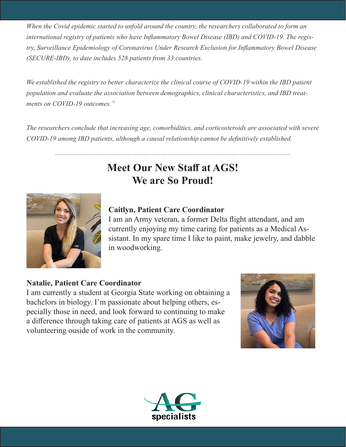*When the Covid epidemic started to unfold around the country, the researchers collaborated to form an international registry of patients who have Inflammatory Bowel Disease (IBD) and COVID-19. The registry, Surveillance Epidemiology of Coronavirus Under Research Exclusion for Inflammatory Bowel Disease (SECURE-IBD), to date includes 528 patients from 33 countries.* 

*We established the registry to better characterize the clinical course of COVID-19 within the IBD patient population and evaluate the association between demographics, clinical characteristics, and IBD treatments on COVID-19 outcomes."*

*The researchers conclude that increasing age, comorbidities, and corticosteroids are associated with severe COVID-19 among IBD patients, although a causal relationship cannot be definitively established.*

# **Meet Our New Staff at AGS! We are So Proud!**



#### **Caitlyn, Patient Care Coordinator**

I am an Army veteran, a former Delta flight attendant, and am currently enjoying my time caring for patients as a Medical Assistant. In my spare time I like to paint, make jewelry, and dabble in woodworking.

#### **Natalie, Patient Care Coordinator**

I am currently a student at Georgia State working on obtaining a bachelors in biology. I'm passionate about helping others, especially those in need, and look forward to continuing to make a difference through taking care of patients at AGS as well as volunteering ouside of work in the community.



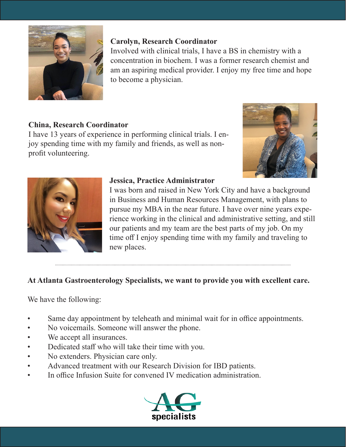

# **Carolyn, Research Coordinator**

Involved with clinical trials, I have a BS in chemistry with a concentration in biochem. I was a former research chemist and am an aspiring medical provider. I enjoy my free time and hope to become a physician.

# **China, Research Coordinator**

I have 13 years of experience in performing clinical trials. I enjoy spending time with my family and friends, as well as nonprofit volunteering.





#### **Jessica, Practice Administrator**

I was born and raised in New York City and have a background in Business and Human Resources Management, with plans to pursue my MBA in the near future. I have over nine years experience working in the clinical and administrative setting, and still our patients and my team are the best parts of my job. On my time off I enjoy spending time with my family and traveling to new places.

# **At Atlanta Gastroenterology Specialists, we want to provide you with excellent care.**

We have the following:

- Same day appointment by teleheath and minimal wait for in office appointments.
- No voicemails. Someone will answer the phone.
- We accept all insurances.
- Dedicated staff who will take their time with you.
- No extenders. Physician care only.
- Advanced treatment with our Research Division for IBD patients.
- In office Infusion Suite for convened IV medication administration.